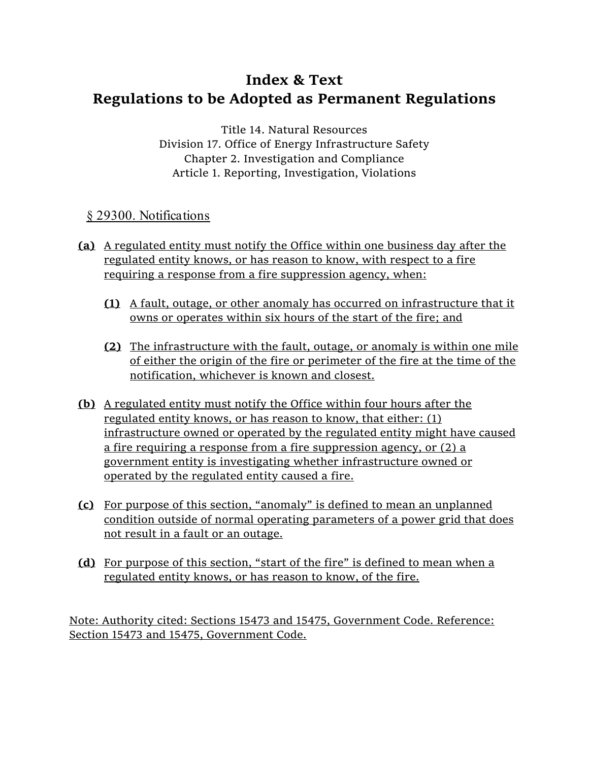## **Index & Text Regulations to be Adopted as Permanent Regulations**

Title 14. Natural Resources Division 17. Office of Energy Infrastructure Safety Chapter 2. Investigation and Compliance Article 1. Reporting, Investigation, Violations

## § 29300. Notifications

- **(a)** A regulated entity must notify the Office within one business day after the regulated entity knows, or has reason to know, with respect to a fire requiring a response from a fire suppression agency, when:
	- **(1)** A fault, outage, or other anomaly has occurred on infrastructure that it owns or operates within six hours of the start of the fire; and
	- **(2)** The infrastructure with the fault, outage, or anomaly is within one mile of either the origin of the fire or perimeter of the fire at the time of the notification, whichever is known and closest.
- **(b)** A regulated entity must notify the Office within four hours after the regulated entity knows, or has reason to know, that either: (1) infrastructure owned or operated by the regulated entity might have caused a fire requiring a response from a fire suppression agency, or (2) a government entity is investigating whether infrastructure owned or operated by the regulated entity caused a fire.
- **(c)** For purpose of this section, "anomaly" is defined to mean an unplanned condition outside of normal operating parameters of a power grid that does not result in a fault or an outage.
- **(d)** For purpose of this section, "start of the fire" is defined to mean when a regulated entity knows, or has reason to know, of the fire.

Note: Authority cited: Sections 15473 and 15475, Government Code. Reference: Section 15473 and 15475, Government Code.